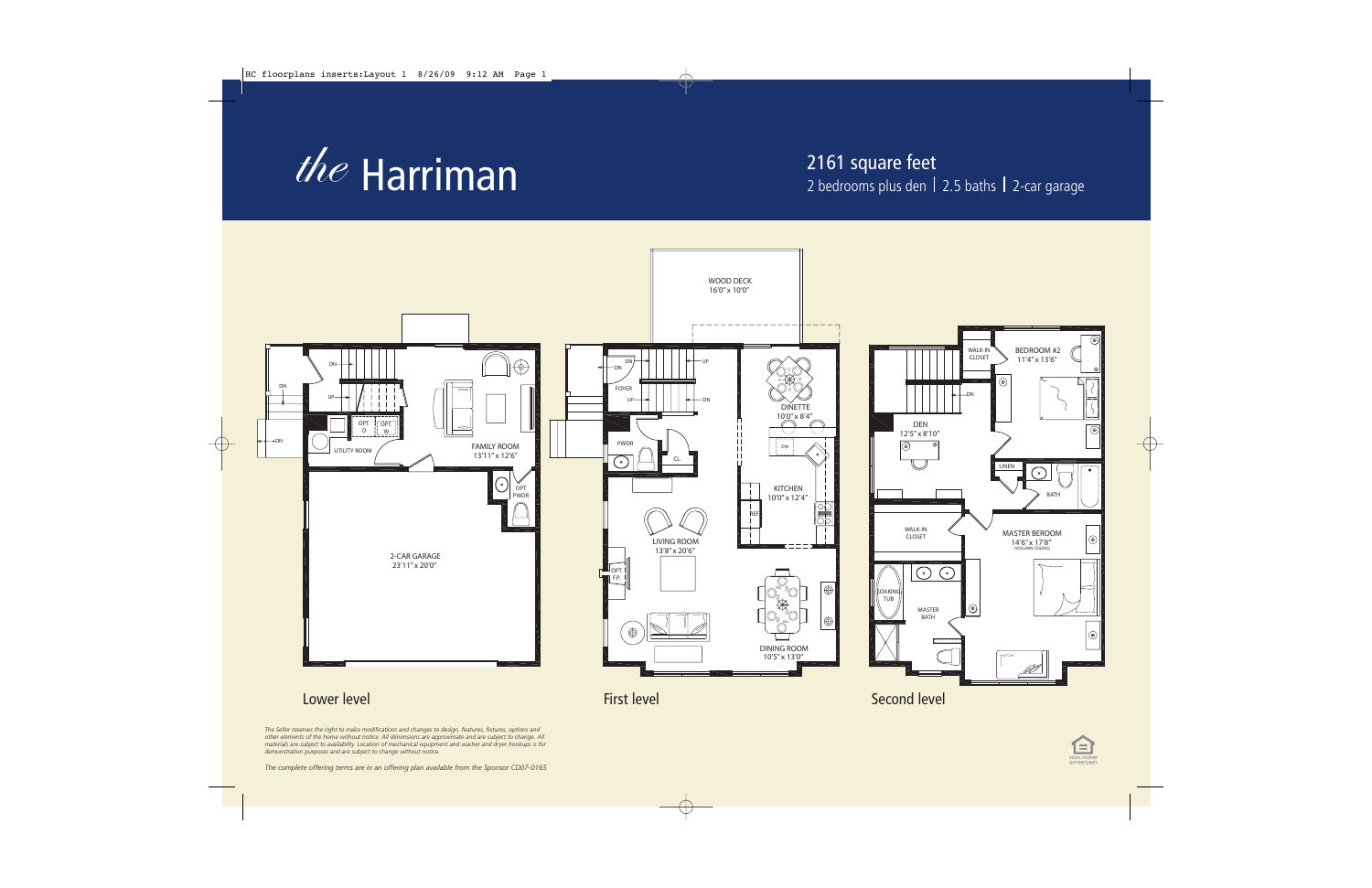

## $the$  Harriman  $the$



*The Seller reserves the right to make modifications and changes to design, features, fixtures, options and other elements of the home without notice. All dimensions are approximate and are subject to change. All materials are subject to availability. Location of mechanical equipment and washer and dryer hookups is for demonstration purposes and are subject to change without notice.*

*The complete offering terms are in an offering plan available from the Sponsor CD07-0165*